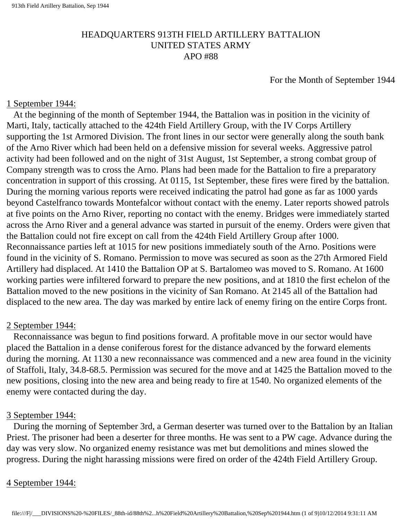## HEADQUARTERS 913TH FIELD ARTILLERY BATTALION UNITED STATES ARMY APO #88

For the Month of September 1944

#### 1 September 1944:

 At the beginning of the month of September 1944, the Battalion was in position in the vicinity of Marti, Italy, tactically attached to the 424th Field Artillery Group, with the IV Corps Artillery supporting the 1st Armored Division. The front lines in our sector were generally along the south bank of the Arno River which had been held on a defensive mission for several weeks. Aggressive patrol activity had been followed and on the night of 31st August, 1st September, a strong combat group of Company strength was to cross the Arno. Plans had been made for the Battalion to fire a preparatory concentration in support of this crossing. At 0115, 1st September, these fires were fired by the battalion. During the morning various reports were received indicating the patrol had gone as far as 1000 yards beyond Castelfranco towards Montefalcor without contact with the enemy. Later reports showed patrols at five points on the Arno River, reporting no contact with the enemy. Bridges were immediately started across the Arno River and a general advance was started in pursuit of the enemy. Orders were given that the Battalion could not fire except on call from the 424th Field Artillery Group after 1000. Reconnaissance parties left at 1015 for new positions immediately south of the Arno. Positions were found in the vicinity of S. Romano. Permission to move was secured as soon as the 27th Armored Field Artillery had displaced. At 1410 the Battalion OP at S. Bartalomeo was moved to S. Romano. At 1600 working parties were infiltered forward to prepare the new positions, and at 1810 the first echelon of the Battalion moved to the new positions in the vicinity of San Romano. At 2145 all of the Battalion had displaced to the new area. The day was marked by entire lack of enemy firing on the entire Corps front.

#### 2 September 1944:

 Reconnaissance was begun to find positions forward. A profitable move in our sector would have placed the Battalion in a dense coniferous forest for the distance advanced by the forward elements during the morning. At 1130 a new reconnaissance was commenced and a new area found in the vicinity of Staffoli, Italy, 34.8-68.5. Permission was secured for the move and at 1425 the Battalion moved to the new positions, closing into the new area and being ready to fire at 1540. No organized elements of the enemy were contacted during the day.

## 3 September 1944:

 During the morning of September 3rd, a German deserter was turned over to the Battalion by an Italian Priest. The prisoner had been a deserter for three months. He was sent to a PW cage. Advance during the day was very slow. No organized enemy resistance was met but demolitions and mines slowed the progress. During the night harassing missions were fired on order of the 424th Field Artillery Group.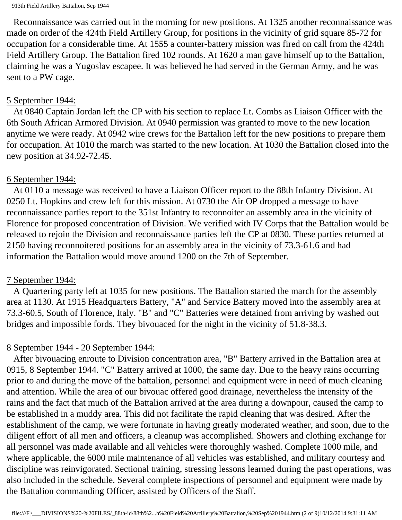Reconnaissance was carried out in the morning for new positions. At 1325 another reconnaissance was made on order of the 424th Field Artillery Group, for positions in the vicinity of grid square 85-72 for occupation for a considerable time. At 1555 a counter-battery mission was fired on call from the 424th Field Artillery Group. The Battalion fired 102 rounds. At 1620 a man gave himself up to the Battalion, claiming he was a Yugoslav escapee. It was believed he had served in the German Army, and he was sent to a PW cage.

## 5 September 1944:

 At 0840 Captain Jordan left the CP with his section to replace Lt. Combs as Liaison Officer with the 6th South African Armored Division. At 0940 permission was granted to move to the new location anytime we were ready. At 0942 wire crews for the Battalion left for the new positions to prepare them for occupation. At 1010 the march was started to the new location. At 1030 the Battalion closed into the new position at 34.92-72.45.

## 6 September 1944:

 At 0110 a message was received to have a Liaison Officer report to the 88th Infantry Division. At 0250 Lt. Hopkins and crew left for this mission. At 0730 the Air OP dropped a message to have reconnaissance parties report to the 351st Infantry to reconnoiter an assembly area in the vicinity of Florence for proposed concentration of Division. We verified with IV Corps that the Battalion would be released to rejoin the Division and reconnaissance parties left the CP at 0830. These parties returned at 2150 having reconnoitered positions for an assembly area in the vicinity of 73.3-61.6 and had information the Battalion would move around 1200 on the 7th of September.

## 7 September 1944:

 A Quartering party left at 1035 for new positions. The Battalion started the march for the assembly area at 1130. At 1915 Headquarters Battery, "A" and Service Battery moved into the assembly area at 73.3-60.5, South of Florence, Italy. "B" and "C" Batteries were detained from arriving by washed out bridges and impossible fords. They bivouaced for the night in the vicinity of 51.8-38.3.

# 8 September 1944 - 20 September 1944:

 After bivouacing enroute to Division concentration area, "B" Battery arrived in the Battalion area at 0915, 8 September 1944. "C" Battery arrived at 1000, the same day. Due to the heavy rains occurring prior to and during the move of the battalion, personnel and equipment were in need of much cleaning and attention. While the area of our bivouac offered good drainage, nevertheless the intensity of the rains and the fact that much of the Battalion arrived at the area during a downpour, caused the camp to be established in a muddy area. This did not facilitate the rapid cleaning that was desired. After the establishment of the camp, we were fortunate in having greatly moderated weather, and soon, due to the diligent effort of all men and officers, a cleanup was accomplished. Showers and clothing exchange for all personnel was made available and all vehicles were thoroughly washed. Complete 1000 mile, and where applicable, the 6000 mile maintenance of all vehicles was established, and military courtesy and discipline was reinvigorated. Sectional training, stressing lessons learned during the past operations, was also included in the schedule. Several complete inspections of personnel and equipment were made by the Battalion commanding Officer, assisted by Officers of the Staff.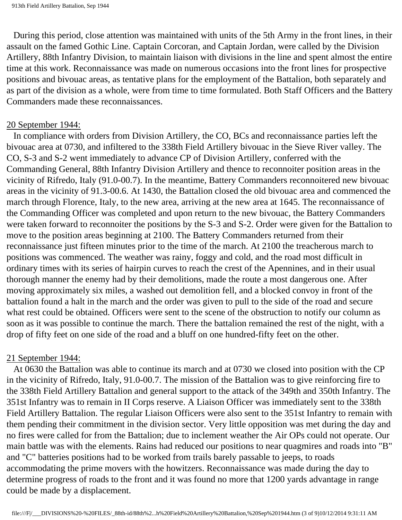During this period, close attention was maintained with units of the 5th Army in the front lines, in their assault on the famed Gothic Line. Captain Corcoran, and Captain Jordan, were called by the Division Artillery, 88th Infantry Division, to maintain liaison with divisions in the line and spent almost the entire time at this work. Reconnaissance was made on numerous occasions into the front lines for prospective positions and bivouac areas, as tentative plans for the employment of the Battalion, both separately and as part of the division as a whole, were from time to time formulated. Both Staff Officers and the Battery Commanders made these reconnaissances.

#### 20 September 1944:

 In compliance with orders from Division Artillery, the CO, BCs and reconnaissance parties left the bivouac area at 0730, and infiltered to the 338th Field Artillery bivouac in the Sieve River valley. The CO, S-3 and S-2 went immediately to advance CP of Division Artillery, conferred with the Commanding General, 88th Infantry Division Artillery and thence to reconnoiter position areas in the vicinity of Rifredo, Italy (91.0-00.7). In the meantime, Battery Commanders reconnoitered new bivouac areas in the vicinity of 91.3-00.6. At 1430, the Battalion closed the old bivouac area and commenced the march through Florence, Italy, to the new area, arriving at the new area at 1645. The reconnaissance of the Commanding Officer was completed and upon return to the new bivouac, the Battery Commanders were taken forward to reconnoiter the positions by the S-3 and S-2. Order were given for the Battalion to move to the position areas beginning at 2100. The Battery Commanders returned from their reconnaissance just fifteen minutes prior to the time of the march. At 2100 the treacherous march to positions was commenced. The weather was rainy, foggy and cold, and the road most difficult in ordinary times with its series of hairpin curves to reach the crest of the Apennines, and in their usual thorough manner the enemy had by their demolitions, made the route a most dangerous one. After moving approximately six miles, a washed out demolition fell, and a blocked convoy in front of the battalion found a halt in the march and the order was given to pull to the side of the road and secure what rest could be obtained. Officers were sent to the scene of the obstruction to notify our column as soon as it was possible to continue the march. There the battalion remained the rest of the night, with a drop of fifty feet on one side of the road and a bluff on one hundred-fifty feet on the other.

#### 21 September 1944:

 At 0630 the Battalion was able to continue its march and at 0730 we closed into position with the CP in the vicinity of Rifredo, Italy, 91.0-00.7. The mission of the Battalion was to give reinforcing fire to the 338th Field Artillery Battalion and general support to the attack of the 349th and 350th Infantry. The 351st Infantry was to remain in II Corps reserve. A Liaison Officer was immediately sent to the 338th Field Artillery Battalion. The regular Liaison Officers were also sent to the 351st Infantry to remain with them pending their commitment in the division sector. Very little opposition was met during the day and no fires were called for from the Battalion; due to inclement weather the Air OPs could not operate. Our main battle was with the elements. Rains had reduced our positions to near quagmires and roads into "B" and "C" batteries positions had to be worked from trails barely passable to jeeps, to roads accommodating the prime movers with the howitzers. Reconnaissance was made during the day to determine progress of roads to the front and it was found no more that 1200 yards advantage in range could be made by a displacement.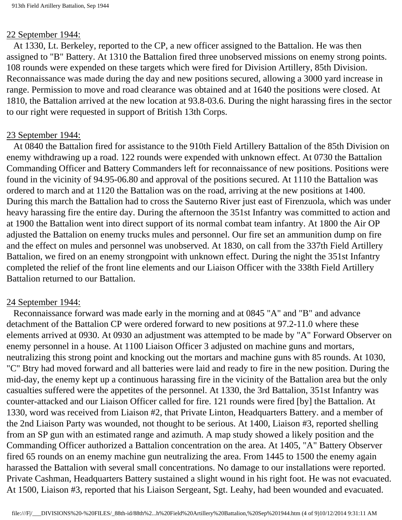#### 22 September 1944:

 At 1330, Lt. Berkeley, reported to the CP, a new officer assigned to the Battalion. He was then assigned to "B" Battery. At 1310 the Battalion fired three unobserved missions on enemy strong points. 108 rounds were expended on these targets which were fired for Division Artillery, 85th Division. Reconnaissance was made during the day and new positions secured, allowing a 3000 yard increase in range. Permission to move and road clearance was obtained and at 1640 the positions were closed. At 1810, the Battalion arrived at the new location at 93.8-03.6. During the night harassing fires in the sector to our right were requested in support of British 13th Corps.

## 23 September 1944:

 At 0840 the Battalion fired for assistance to the 910th Field Artillery Battalion of the 85th Division on enemy withdrawing up a road. 122 rounds were expended with unknown effect. At 0730 the Battalion Commanding Officer and Battery Commanders left for reconnaissance of new positions. Positions were found in the vicinity of 94.95-06.80 and approval of the positions secured. At 1110 the Battalion was ordered to march and at 1120 the Battalion was on the road, arriving at the new positions at 1400. During this march the Battalion had to cross the Sauterno River just east of Firenzuola, which was under heavy harassing fire the entire day. During the afternoon the 351st Infantry was committed to action and at 1900 the Battalion went into direct support of its normal combat team infantry. At 1800 the Air OP adjusted the Battalion on enemy trucks mules and personnel. Our fire set an ammunition dump on fire and the effect on mules and personnel was unobserved. At 1830, on call from the 337th Field Artillery Battalion, we fired on an enemy strongpoint with unknown effect. During the night the 351st Infantry completed the relief of the front line elements and our Liaison Officer with the 338th Field Artillery Battalion returned to our Battalion.

## 24 September 1944:

 Reconnaissance forward was made early in the morning and at 0845 "A" and "B" and advance detachment of the Battalion CP were ordered forward to new positions at 97.2-11.0 where these elements arrived at 0930. At 0930 an adjustment was attempted to be made by "A" Forward Observer on enemy personnel in a house. At 1100 Liaison Officer 3 adjusted on machine guns and mortars, neutralizing this strong point and knocking out the mortars and machine guns with 85 rounds. At 1030, "C" Btry had moved forward and all batteries were laid and ready to fire in the new position. During the mid-day, the enemy kept up a continuous harassing fire in the vicinity of the Battalion area but the only casualties suffered were the appetites of the personnel. At 1330, the 3rd Battalion, 351st Infantry was counter-attacked and our Liaison Officer called for fire. 121 rounds were fired [by] the Battalion. At 1330, word was received from Liaison #2, that Private Linton, Headquarters Battery. and a member of the 2nd Liaison Party was wounded, not thought to be serious. At 1400, Liaison #3, reported shelling from an SP gun with an estimated range and azimuth. A map study showed a likely position and the Commanding Officer authorized a Battalion concentration on the area. At 1405, "A" Battery Observer fired 65 rounds on an enemy machine gun neutralizing the area. From 1445 to 1500 the enemy again harassed the Battalion with several small concentrations. No damage to our installations were reported. Private Cashman, Headquarters Battery sustained a slight wound in his right foot. He was not evacuated. At 1500, Liaison #3, reported that his Liaison Sergeant, Sgt. Leahy, had been wounded and evacuated.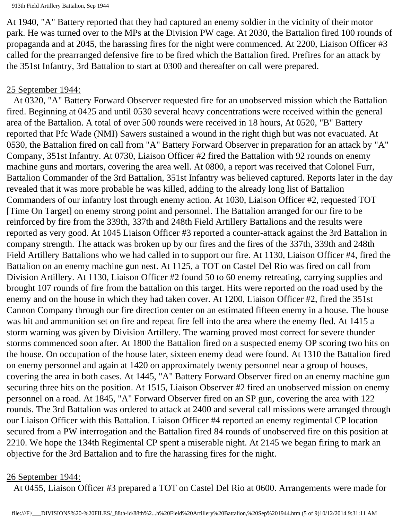At 1940, "A" Battery reported that they had captured an enemy soldier in the vicinity of their motor park. He was turned over to the MPs at the Division PW cage. At 2030, the Battalion fired 100 rounds of propaganda and at 2045, the harassing fires for the night were commenced. At 2200, Liaison Officer #3 called for the prearranged defensive fire to be fired which the Battalion fired. Prefires for an attack by the 351st Infantry, 3rd Battalion to start at 0300 and thereafter on call were prepared.

## 25 September 1944:

 At 0320, "A" Battery Forward Observer requested fire for an unobserved mission which the Battalion fired. Beginning at 0425 and until 0530 several heavy concentrations were received within the general area of the Battalion. A total of over 500 rounds were received in 18 hours, At 0520, "B" Battery reported that Pfc Wade (NMI) Sawers sustained a wound in the right thigh but was not evacuated. At 0530, the Battalion fired on call from "A" Battery Forward Observer in preparation for an attack by "A" Company, 351st Infantry. At 0730, Liaison Officer #2 fired the Battalion with 92 rounds on enemy machine guns and mortars, covering the area well. At 0800, a report was received that Colonel Furr, Battalion Commander of the 3rd Battalion, 351st Infantry was believed captured. Reports later in the day revealed that it was more probable he was killed, adding to the already long list of Battalion Commanders of our infantry lost through enemy action. At 1030, Liaison Officer #2, requested TOT [Time On Target] on enemy strong point and personnel. The Battalion arranged for our fire to be reinforced by fire from the 339th, 337th and 248th Field Artillery Battalions and the results were reported as very good. At 1045 Liaison Officer #3 reported a counter-attack against the 3rd Battalion in company strength. The attack was broken up by our fires and the fires of the 337th, 339th and 248th Field Artillery Battalions who we had called in to support our fire. At 1130, Liaison Officer #4, fired the Battalion on an enemy machine gun nest. At 1125, a TOT on Castel Del Rio was fired on call from Division Artillery. At 1130, Liaison Officer #2 found 50 to 60 enemy retreating, carrying supplies and brought 107 rounds of fire from the battalion on this target. Hits were reported on the road used by the enemy and on the house in which they had taken cover. At 1200, Liaison Officer #2, fired the 351st Cannon Company through our fire direction center on an estimated fifteen enemy in a house. The house was hit and ammunition set on fire and repeat fire fell into the area where the enemy fled. At 1415 a storm warning was given by Division Artillery. The warning proved most correct for severe thunder storms commenced soon after. At 1800 the Battalion fired on a suspected enemy OP scoring two hits on the house. On occupation of the house later, sixteen enemy dead were found. At 1310 the Battalion fired on enemy personnel and again at 1420 on approximately twenty personnel near a group of houses, covering the area in both cases. At 1445, "A" Battery Forward Observer fired on an enemy machine gun securing three hits on the position. At 1515, Liaison Observer #2 fired an unobserved mission on enemy personnel on a road. At 1845, "A" Forward Observer fired on an SP gun, covering the area with 122 rounds. The 3rd Battalion was ordered to attack at 2400 and several call missions were arranged through our Liaison Officer with this Battalion. Liaison Officer #4 reported an enemy regimental CP location secured from a PW interrogation and the Battalion fired 84 rounds of unobserved fire on this position at 2210. We hope the 134th Regimental CP spent a miserable night. At 2145 we began firing to mark an objective for the 3rd Battalion and to fire the harassing fires for the night.

#### 26 September 1944:

At 0455, Liaison Officer #3 prepared a TOT on Castel Del Rio at 0600. Arrangements were made for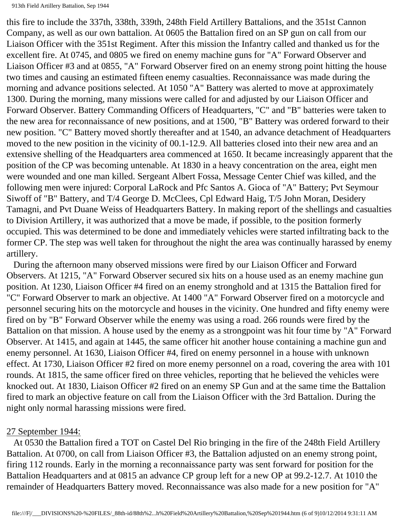this fire to include the 337th, 338th, 339th, 248th Field Artillery Battalions, and the 351st Cannon Company, as well as our own battalion. At 0605 the Battalion fired on an SP gun on call from our Liaison Officer with the 351st Regiment. After this mission the Infantry called and thanked us for the excellent fire. At 0745, and 0805 we fired on enemy machine guns for "A" Forward Observer and Liaison Officer #3 and at 0855, "A" Forward Observer fired on an enemy strong point hitting the house two times and causing an estimated fifteen enemy casualties. Reconnaissance was made during the morning and advance positions selected. At 1050 "A" Battery was alerted to move at approximately 1300. During the morning, many missions were called for and adjusted by our Liaison Officer and Forward Observer. Battery Commanding Officers of Headquarters, "C" and "B" batteries were taken to the new area for reconnaissance of new positions, and at 1500, "B" Battery was ordered forward to their new position. "C" Battery moved shortly thereafter and at 1540, an advance detachment of Headquarters moved to the new position in the vicinity of 00.1-12.9. All batteries closed into their new area and an extensive shelling of the Headquarters area commenced at 1650. It became increasingly apparent that the position of the CP was becoming untenable. At 1830 in a heavy concentration on the area, eight men were wounded and one man killed. Sergeant Albert Fossa, Message Center Chief was killed, and the following men were injured: Corporal LaRock and Pfc Santos A. Gioca of "A" Battery; Pvt Seymour Siwoff of "B" Battery, and T/4 George D. McClees, Cpl Edward Haig, T/5 John Moran, Desidery Tamagni, and Pvt Duane Weiss of Headquarters Battery. In making report of the shellings and casualties to Division Artillery, it was authorized that a move be made, if possible, to the position formerly occupied. This was determined to be done and immediately vehicles were started infiltrating back to the former CP. The step was well taken for throughout the night the area was continually harassed by enemy artillery.

 During the afternoon many observed missions were fired by our Liaison Officer and Forward Observers. At 1215, "A" Forward Observer secured six hits on a house used as an enemy machine gun position. At 1230, Liaison Officer #4 fired on an enemy stronghold and at 1315 the Battalion fired for "C" Forward Observer to mark an objective. At 1400 "A" Forward Observer fired on a motorcycle and personnel securing hits on the motorcycle and houses in the vicinity. One hundred and fifty enemy were fired on by "B" Forward Observer while the enemy was using a road. 266 rounds were fired by the Battalion on that mission. A house used by the enemy as a strongpoint was hit four time by "A" Forward Observer. At 1415, and again at 1445, the same officer hit another house containing a machine gun and enemy personnel. At 1630, Liaison Officer #4, fired on enemy personnel in a house with unknown effect. At 1730, Liaison Officer #2 fired on more enemy personnel on a road, covering the area with 101 rounds. At 1815, the same officer fired on three vehicles, reporting that he believed the vehicles were knocked out. At 1830, Liaison Officer #2 fired on an enemy SP Gun and at the same time the Battalion fired to mark an objective feature on call from the Liaison Officer with the 3rd Battalion. During the night only normal harassing missions were fired.

#### 27 September 1944:

 At 0530 the Battalion fired a TOT on Castel Del Rio bringing in the fire of the 248th Field Artillery Battalion. At 0700, on call from Liaison Officer #3, the Battalion adjusted on an enemy strong point, firing 112 rounds. Early in the morning a reconnaissance party was sent forward for position for the Battalion Headquarters and at 0815 an advance CP group left for a new OP at 99.2-12.7. At 1010 the remainder of Headquarters Battery moved. Reconnaissance was also made for a new position for "A"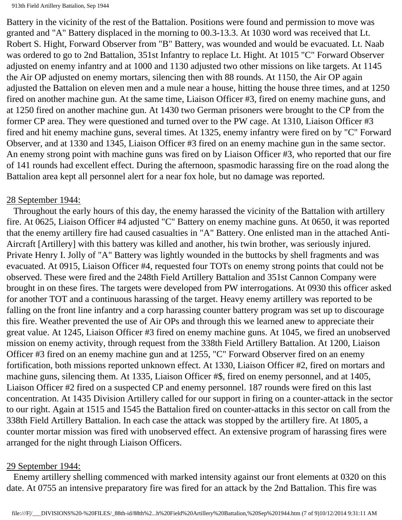Battery in the vicinity of the rest of the Battalion. Positions were found and permission to move was granted and "A" Battery displaced in the morning to 00.3-13.3. At 1030 word was received that Lt. Robert S. Hight, Forward Observer from "B" Battery, was wounded and would be evacuated. Lt. Naab was ordered to go to 2nd Battalion, 351st Infantry to replace Lt. Hight. At 1015 "C" Forward Observer adjusted on enemy infantry and at 1000 and 1130 adjusted two other missions on like targets. At 1145 the Air OP adjusted on enemy mortars, silencing then with 88 rounds. At 1150, the Air OP again adjusted the Battalion on eleven men and a mule near a house, hitting the house three times, and at 1250 fired on another machine gun. At the same time, Liaison Officer #3, fired on enemy machine guns, and at 1250 fired on another machine gun. At 1430 two German prisoners were brought to the CP from the former CP area. They were questioned and turned over to the PW cage. At 1310, Liaison Officer #3 fired and hit enemy machine guns, several times. At 1325, enemy infantry were fired on by "C" Forward Observer, and at 1330 and 1345, Liaison Officer #3 fired on an enemy machine gun in the same sector. An enemy strong point with machine guns was fired on by Liaison Officer #3, who reported that our fire of 141 rounds had excellent effect. During the afternoon, spasmodic harassing fire on the road along the Battalion area kept all personnel alert for a near fox hole, but no damage was reported.

#### 28 September 1944:

 Throughout the early hours of this day, the enemy harassed the vicinity of the Battalion with artillery fire. At 0625, Liaison Officer #4 adjusted "C" Battery on enemy machine guns. At 0650, it was reported that the enemy artillery fire had caused casualties in "A" Battery. One enlisted man in the attached Anti-Aircraft [Artillery] with this battery was killed and another, his twin brother, was seriously injured. Private Henry I. Jolly of "A" Battery was lightly wounded in the buttocks by shell fragments and was evacuated. At 0915, Liaison Officer #4, requested four TOTs on enemy strong points that could not be observed. These were fired and the 248th Field Artillery Battalion and 351st Cannon Company were brought in on these fires. The targets were developed from PW interrogations. At 0930 this officer asked for another TOT and a continuous harassing of the target. Heavy enemy artillery was reported to be falling on the front line infantry and a corp harassing counter battery program was set up to discourage this fire. Weather prevented the use of Air OPs and through this we learned anew to appreciate their great value. At 1245, Liaison Officer #3 fired on enemy machine guns. At 1045, we fired an unobserved mission on enemy activity, through request from the 338th Field Artillery Battalion. At 1200, Liaison Officer #3 fired on an enemy machine gun and at 1255, "C" Forward Observer fired on an enemy fortification, both missions reported unknown effect. At 1330, Liaison Officer #2, fired on mortars and machine guns, silencing them. At 1335, Liaison Officer #\$, fired on enemy personnel, and at 1405, Liaison Officer #2 fired on a suspected CP and enemy personnel. 187 rounds were fired on this last concentration. At 1435 Division Artillery called for our support in firing on a counter-attack in the sector to our right. Again at 1515 and 1545 the Battalion fired on counter-attacks in this sector on call from the 338th Field Artillery Battalion. In each case the attack was stopped by the artillery fire. At 1805, a counter mortar mission was fired with unobserved effect. An extensive program of harassing fires were arranged for the night through Liaison Officers.

#### 29 September 1944:

 Enemy artillery shelling commenced with marked intensity against our front elements at 0320 on this date. At 0755 an intensive preparatory fire was fired for an attack by the 2nd Battalion. This fire was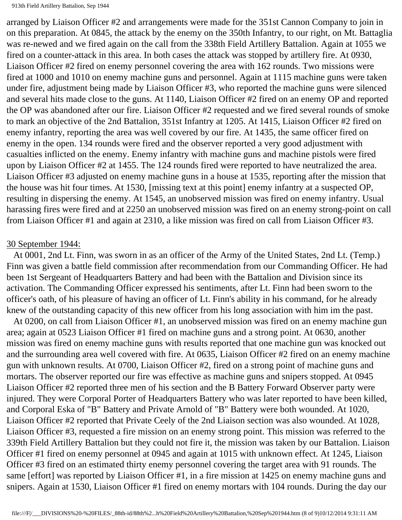arranged by Liaison Officer #2 and arrangements were made for the 351st Cannon Company to join in on this preparation. At 0845, the attack by the enemy on the 350th Infantry, to our right, on Mt. Battaglia was re-newed and we fired again on the call from the 338th Field Artillery Battalion. Again at 1055 we fired on a counter-attack in this area. In both cases the attack was stopped by artillery fire. At 0930, Liaison Officer #2 fired on enemy personnel covering the area with 162 rounds. Two missions were fired at 1000 and 1010 on enemy machine guns and personnel. Again at 1115 machine guns were taken under fire, adjustment being made by Liaison Officer #3, who reported the machine guns were silenced and several hits made close to the guns. At 1140, Liaison Officer #2 fired on an enemy OP and reported the OP was abandoned after our fire. Liaison Officer #2 requested and we fired several rounds of smoke to mark an objective of the 2nd Battalion, 351st Infantry at 1205. At 1415, Liaison Officer #2 fired on enemy infantry, reporting the area was well covered by our fire. At 1435, the same officer fired on enemy in the open. 134 rounds were fired and the observer reported a very good adjustment with casualties inflicted on the enemy. Enemy infantry with machine guns and machine pistols were fired upon by Liaison Officer #2 at 1455. The 124 rounds fired were reported to have neutralized the area. Liaison Officer #3 adjusted on enemy machine guns in a house at 1535, reporting after the mission that the house was hit four times. At 1530, [missing text at this point] enemy infantry at a suspected OP, resulting in dispersing the enemy. At 1545, an unobserved mission was fired on enemy infantry. Usual harassing fires were fired and at 2250 an unobserved mission was fired on an enemy strong-point on call from Liaison Officer #1 and again at 2310, a like mission was fired on call from Liaison Officer #3.

#### 30 September 1944:

 At 0001, 2nd Lt. Finn, was sworn in as an officer of the Army of the United States, 2nd Lt. (Temp.) Finn was given a battle field commission after recommendation from our Commanding Officer. He had been 1st Sergeant of Headquarters Battery and had been with the Battalion and Division since its activation. The Commanding Officer expressed his sentiments, after Lt. Finn had been sworn to the officer's oath, of his pleasure of having an officer of Lt. Finn's ability in his command, for he already knew of the outstanding capacity of this new officer from his long association with him im the past.

 At 0200, on call from Liaison Officer #1, an unobserved mission was fired on an enemy machine gun area; again at 0523 Liaison Officer #1 fired on machine guns and a strong point. At 0630, another mission was fired on enemy machine guns with results reported that one machine gun was knocked out and the surrounding area well covered with fire. At 0635, Liaison Officer #2 fired on an enemy machine gun with unknown results. At 0700, Liaison Officer #2, fired on a strong point of machine guns and mortars. The observer reported our fire was effective as machine guns and snipers stopped. At 0945 Liaison Officer #2 reported three men of his section and the B Battery Forward Observer party were injured. They were Corporal Porter of Headquarters Battery who was later reported to have been killed, and Corporal Eska of "B" Battery and Private Arnold of "B" Battery were both wounded. At 1020, Liaison Officer #2 reported that Private Ceely of the 2nd Liaison section was also wounded. At 1028, Liaison Officer #3, requested a fire mission on an enemy strong point. This mission was referred to the 339th Field Artillery Battalion but they could not fire it, the mission was taken by our Battalion. Liaison Officer #1 fired on enemy personnel at 0945 and again at 1015 with unknown effect. At 1245, Liaison Officer #3 fired on an estimated thirty enemy personnel covering the target area with 91 rounds. The same [effort] was reported by Liaison Officer #1, in a fire mission at 1425 on enemy machine guns and snipers. Again at 1530, Liaison Officer #1 fired on enemy mortars with 104 rounds. During the day our